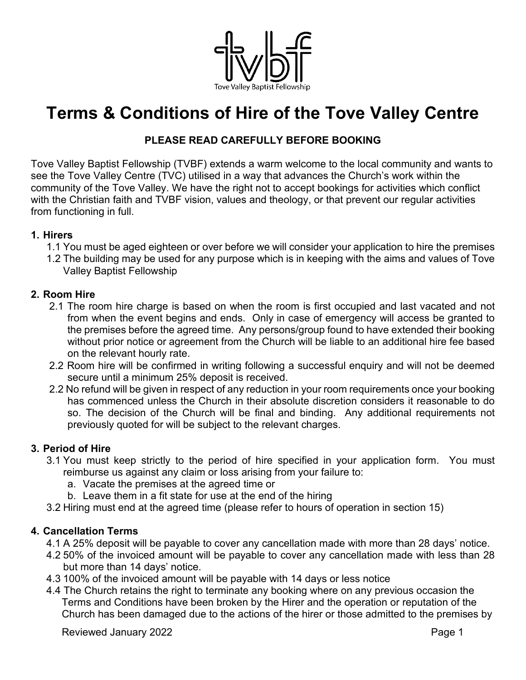

# **Terms & Conditions of Hire of the Tove Valley Centre**

# **PLEASE READ CAREFULLY BEFORE BOOKING**

Tove Valley Baptist Fellowship (TVBF) extends a warm welcome to the local community and wants to see the Tove Valley Centre (TVC) utilised in a way that advances the Church's work within the community of the Tove Valley. We have the right not to accept bookings for activities which conflict with the Christian faith and TVBF vision, values and theology, or that prevent our regular activities from functioning in full.

#### **1. Hirers**

- 1.1 You must be aged eighteen or over before we will consider your application to hire the premises
- 1.2 The building may be used for any purpose which is in keeping with the aims and values of Tove Valley Baptist Fellowship

#### **2. Room Hire**

- 2.1 The room hire charge is based on when the room is first occupied and last vacated and not from when the event begins and ends. Only in case of emergency will access be granted to the premises before the agreed time. Any persons/group found to have extended their booking without prior notice or agreement from the Church will be liable to an additional hire fee based on the relevant hourly rate.
- 2.2 Room hire will be confirmed in writing following a successful enquiry and will not be deemed secure until a minimum 25% deposit is received.
- 2.2 No refund will be given in respect of any reduction in your room requirements once your booking has commenced unless the Church in their absolute discretion considers it reasonable to do so. The decision of the Church will be final and binding. Any additional requirements not previously quoted for will be subject to the relevant charges.

#### **3. Period of Hire**

- 3.1 You must keep strictly to the period of hire specified in your application form. You must reimburse us against any claim or loss arising from your failure to:
	- a. Vacate the premises at the agreed time or
	- b. Leave them in a fit state for use at the end of the hiring
- 3.2 Hiring must end at the agreed time (please refer to hours of operation in section 15)

#### **4. Cancellation Terms**

- 4.1 A 25% deposit will be payable to cover any cancellation made with more than 28 days' notice.
- 4.2 50% of the invoiced amount will be payable to cover any cancellation made with less than 28 but more than 14 days' notice.
- 4.3 100% of the invoiced amount will be payable with 14 days or less notice
- 4.4 The Church retains the right to terminate any booking where on any previous occasion the Terms and Conditions have been broken by the Hirer and the operation or reputation of the Church has been damaged due to the actions of the hirer or those admitted to the premises by

Reviewed January 2022 **Page 1**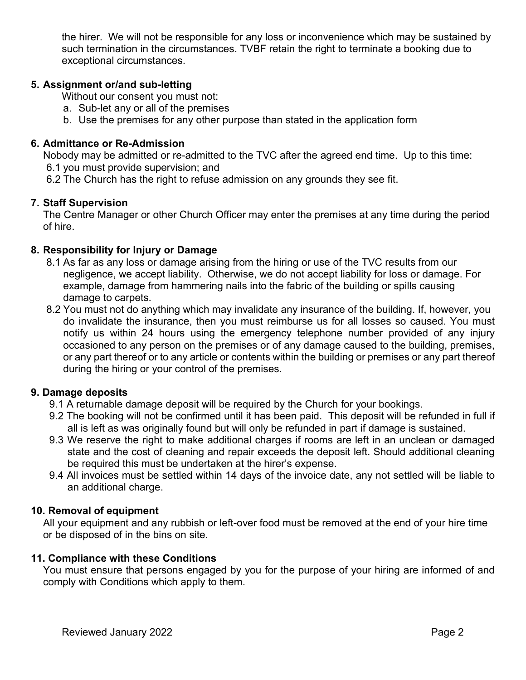the hirer. We will not be responsible for any loss or inconvenience which may be sustained by such termination in the circumstances. TVBF retain the right to terminate a booking due to exceptional circumstances.

## **5. Assignment or/and sub-letting**

Without our consent you must not:

- a. Sub-let any or all of the premises
- b. Use the premises for any other purpose than stated in the application form

#### **6. Admittance or Re-Admission**

Nobody may be admitted or re-admitted to the TVC after the agreed end time. Up to this time: 6.1 you must provide supervision; and

6.2 The Church has the right to refuse admission on any grounds they see fit.

## **7. Staff Supervision**

The Centre Manager or other Church Officer may enter the premises at any time during the period of hire.

## **8. Responsibility for Injury or Damage**

- 8.1 As far as any loss or damage arising from the hiring or use of the TVC results from our negligence, we accept liability. Otherwise, we do not accept liability for loss or damage. For example, damage from hammering nails into the fabric of the building or spills causing damage to carpets.
- 8.2 You must not do anything which may invalidate any insurance of the building. If, however, you do invalidate the insurance, then you must reimburse us for all losses so caused. You must notify us within 24 hours using the emergency telephone number provided of any injury occasioned to any person on the premises or of any damage caused to the building, premises, or any part thereof or to any article or contents within the building or premises or any part thereof during the hiring or your control of the premises.

#### **9. Damage deposits**

- 9.1 A returnable damage deposit will be required by the Church for your bookings.
- 9.2 The booking will not be confirmed until it has been paid. This deposit will be refunded in full if all is left as was originally found but will only be refunded in part if damage is sustained.
- 9.3 We reserve the right to make additional charges if rooms are left in an unclean or damaged state and the cost of cleaning and repair exceeds the deposit left. Should additional cleaning be required this must be undertaken at the hirer's expense.
- 9.4 All invoices must be settled within 14 days of the invoice date, any not settled will be liable to an additional charge.

#### **10. Removal of equipment**

All your equipment and any rubbish or left-over food must be removed at the end of your hire time or be disposed of in the bins on site.

#### **11. Compliance with these Conditions**

You must ensure that persons engaged by you for the purpose of your hiring are informed of and comply with Conditions which apply to them.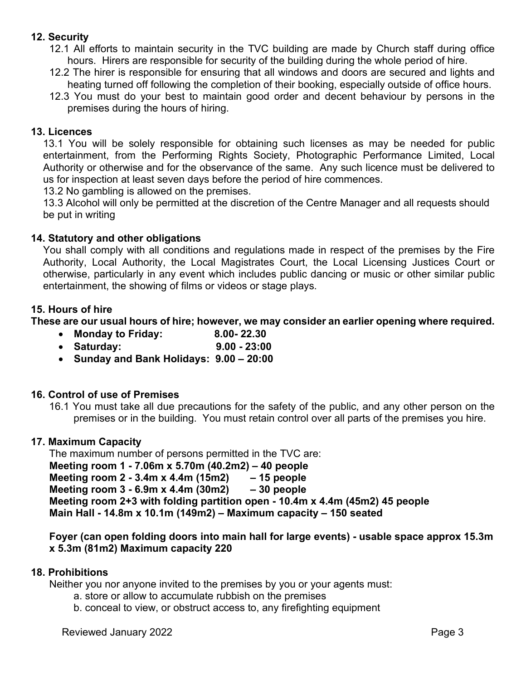# **12. Security**

- 12.1 All efforts to maintain security in the TVC building are made by Church staff during office hours. Hirers are responsible for security of the building during the whole period of hire.
- 12.2 The hirer is responsible for ensuring that all windows and doors are secured and lights and heating turned off following the completion of their booking, especially outside of office hours.
- 12.3 You must do your best to maintain good order and decent behaviour by persons in the premises during the hours of hiring.

#### **13. Licences**

13.1 You will be solely responsible for obtaining such licenses as may be needed for public entertainment, from the Performing Rights Society, Photographic Performance Limited, Local Authority or otherwise and for the observance of the same. Any such licence must be delivered to us for inspection at least seven days before the period of hire commences.

13.2 No gambling is allowed on the premises.

13.3 Alcohol will only be permitted at the discretion of the Centre Manager and all requests should be put in writing

#### **14. Statutory and other obligations**

You shall comply with all conditions and regulations made in respect of the premises by the Fire Authority, Local Authority, the Local Magistrates Court, the Local Licensing Justices Court or otherwise, particularly in any event which includes public dancing or music or other similar public entertainment, the showing of films or videos or stage plays.

#### **15. Hours of hire**

**These are our usual hours of hire; however, we may consider an earlier opening where required.**

- **Monday to Friday: 8.00- 22.30**
- **Saturday: 9.00 - 23:00**
- **Sunday and Bank Holidays: 9.00 – 20:00**

#### **16. Control of use of Premises**

16.1 You must take all due precautions for the safety of the public, and any other person on the premises or in the building. You must retain control over all parts of the premises you hire.

#### **17. Maximum Capacity**

The maximum number of persons permitted in the TVC are: **Meeting room 1 - 7.06m x 5.70m (40.2m2) – 40 people Meeting room 2 - 3.4m x 4.4m (15m2) – 15 people Meeting room 3 - 6.9m x 4.4m (30m2) – 30 people Meeting room 2+3 with folding partition open - 10.4m x 4.4m (45m2) 45 people Main Hall - 14.8m x 10.1m (149m2) – Maximum capacity – 150 seated**

**Foyer (can open folding doors into main hall for large events) - usable space approx 15.3m x 5.3m (81m2) Maximum capacity 220**

#### **18. Prohibitions**

Neither you nor anyone invited to the premises by you or your agents must:

- a. store or allow to accumulate rubbish on the premises
- b. conceal to view, or obstruct access to, any firefighting equipment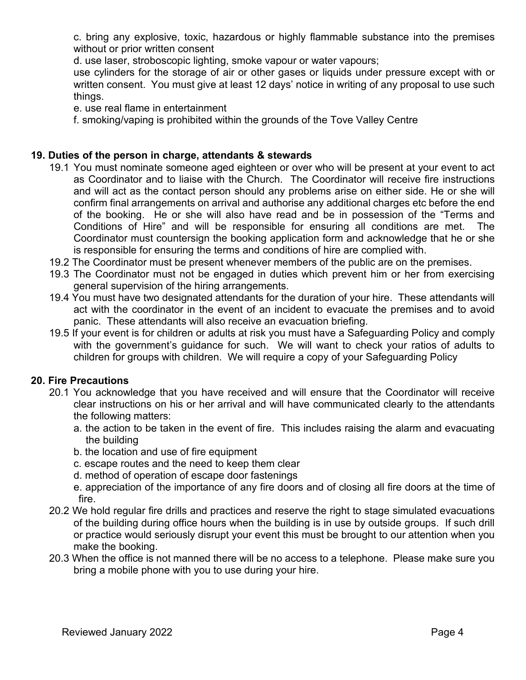c. bring any explosive, toxic, hazardous or highly flammable substance into the premises without or prior written consent

d. use laser, stroboscopic lighting, smoke vapour or water vapours;

use cylinders for the storage of air or other gases or liquids under pressure except with or written consent. You must give at least 12 days' notice in writing of any proposal to use such things.

e. use real flame in entertainment

f. smoking/vaping is prohibited within the grounds of the Tove Valley Centre

## **19. Duties of the person in charge, attendants & stewards**

- 19.1 You must nominate someone aged eighteen or over who will be present at your event to act as Coordinator and to liaise with the Church. The Coordinator will receive fire instructions and will act as the contact person should any problems arise on either side. He or she will confirm final arrangements on arrival and authorise any additional charges etc before the end of the booking. He or she will also have read and be in possession of the "Terms and Conditions of Hire" and will be responsible for ensuring all conditions are met. The Coordinator must countersign the booking application form and acknowledge that he or she is responsible for ensuring the terms and conditions of hire are complied with.
- 19.2 The Coordinator must be present whenever members of the public are on the premises.
- 19.3 The Coordinator must not be engaged in duties which prevent him or her from exercising general supervision of the hiring arrangements.
- 19.4 You must have two designated attendants for the duration of your hire. These attendants will act with the coordinator in the event of an incident to evacuate the premises and to avoid panic. These attendants will also receive an evacuation briefing.
- 19.5 If your event is for children or adults at risk you must have a Safeguarding Policy and comply with the government's guidance for such. We will want to check your ratios of adults to children for groups with children. We will require a copy of your Safeguarding Policy

#### **20. Fire Precautions**

- 20.1 You acknowledge that you have received and will ensure that the Coordinator will receive clear instructions on his or her arrival and will have communicated clearly to the attendants the following matters:
	- a. the action to be taken in the event of fire. This includes raising the alarm and evacuating the building
	- b. the location and use of fire equipment
	- c. escape routes and the need to keep them clear
	- d. method of operation of escape door fastenings
	- e. appreciation of the importance of any fire doors and of closing all fire doors at the time of fire.
- 20.2 We hold regular fire drills and practices and reserve the right to stage simulated evacuations of the building during office hours when the building is in use by outside groups. If such drill or practice would seriously disrupt your event this must be brought to our attention when you make the booking.
- 20.3 When the office is not manned there will be no access to a telephone. Please make sure you bring a mobile phone with you to use during your hire.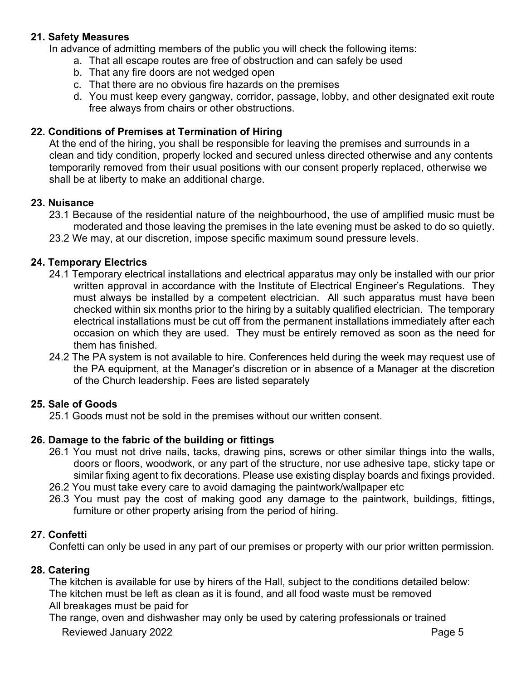# **21. Safety Measures**

In advance of admitting members of the public you will check the following items:

- a. That all escape routes are free of obstruction and can safely be used
- b. That any fire doors are not wedged open
- c. That there are no obvious fire hazards on the premises
- d. You must keep every gangway, corridor, passage, lobby, and other designated exit route free always from chairs or other obstructions.

# **22. Conditions of Premises at Termination of Hiring**

At the end of the hiring, you shall be responsible for leaving the premises and surrounds in a clean and tidy condition, properly locked and secured unless directed otherwise and any contents temporarily removed from their usual positions with our consent properly replaced, otherwise we shall be at liberty to make an additional charge.

## **23. Nuisance**

- 23.1 Because of the residential nature of the neighbourhood, the use of amplified music must be moderated and those leaving the premises in the late evening must be asked to do so quietly.
- 23.2 We may, at our discretion, impose specific maximum sound pressure levels.

## **24. Temporary Electrics**

- 24.1 Temporary electrical installations and electrical apparatus may only be installed with our prior written approval in accordance with the Institute of Electrical Engineer's Regulations. They must always be installed by a competent electrician. All such apparatus must have been checked within six months prior to the hiring by a suitably qualified electrician. The temporary electrical installations must be cut off from the permanent installations immediately after each occasion on which they are used. They must be entirely removed as soon as the need for them has finished.
- 24.2 The PA system is not available to hire. Conferences held during the week may request use of the PA equipment, at the Manager's discretion or in absence of a Manager at the discretion of the Church leadership. Fees are listed separately

# **25. Sale of Goods**

25.1 Goods must not be sold in the premises without our written consent.

# **26. Damage to the fabric of the building or fittings**

- 26.1 You must not drive nails, tacks, drawing pins, screws or other similar things into the walls, doors or floors, woodwork, or any part of the structure, nor use adhesive tape, sticky tape or similar fixing agent to fix decorations. Please use existing display boards and fixings provided.
- 26.2 You must take every care to avoid damaging the paintwork/wallpaper etc
- 26.3 You must pay the cost of making good any damage to the paintwork, buildings, fittings, furniture or other property arising from the period of hiring.

#### **27. Confetti**

Confetti can only be used in any part of our premises or property with our prior written permission.

#### **28. Catering**

The kitchen is available for use by hirers of the Hall, subject to the conditions detailed below: The kitchen must be left as clean as it is found, and all food waste must be removed All breakages must be paid for

Reviewed January 2022 **Page 5** The range, oven and dishwasher may only be used by catering professionals or trained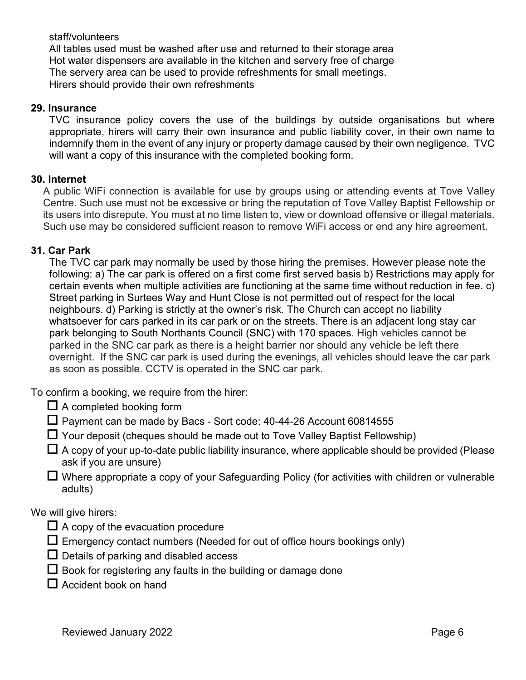#### staff/volunteers

All tables used must be washed after use and returned to their storage area Hot water dispensers are available in the kitchen and servery free of charge The servery area can be used to provide refreshments for small meetings. Hirers should provide their own refreshments

#### **29. Insurance**

TVC insurance policy covers the use of the buildings by outside organisations but where appropriate, hirers will carry their own insurance and public liability cover, in their own name to indemnify them in the event of any injury or property damage caused by their own negligence. TVC will want a copy of this insurance with the completed booking form.

#### **30. Internet**

A public WiFi connection is available for use by groups using or attending events at Tove Valley Centre. Such use must not be excessive or bring the reputation of Tove Valley Baptist Fellowship or its users into disrepute. You must at no time listen to, view or download offensive or illegal materials. Such use may be considered sufficient reason to remove WiFi access or end any hire agreement.

#### **31. Car Park**

The TVC car park may normally be used by those hiring the premises. However please note the following: a) The car park is offered on a first come first served basis b) Restrictions may apply for certain events when multiple activities are functioning at the same time without reduction in fee. c) Street parking in Surtees Way and Hunt Close is not permitted out of respect for the local neighbours. d) Parking is strictly at the owner's risk. The Church can accept no liability whatsoever for cars parked in its car park or on the streets. There is an adjacent long stay car park belonging to South Northants Council (SNC) with 170 spaces. High vehicles cannot be parked in the SNC car park as there is a height barrier nor should any vehicle be left there overnight. If the SNC car park is used during the evenings, all vehicles should leave the car park as soon as possible. CCTV is operated in the SNC car park.

To confirm a booking, we require from the hirer:

 $\Box$  A completed booking form

 $\Box$  Payment can be made by Bacs - Sort code: 40-44-26 Account 60814555

- $\Box$  Your deposit (cheques should be made out to Tove Valley Baptist Fellowship)
- $\Box$  A copy of your up-to-date public liability insurance, where applicable should be provided (Please ask if you are unsure)
- $\Box$  Where appropriate a copy of your Safeguarding Policy (for activities with children or vulnerable adults)

We will give hirers:

- $\Box$  A copy of the evacuation procedure
- $\square$  Emergency contact numbers (Needed for out of office hours bookings only)
- $\Box$  Details of parking and disabled access
- $\Box$  Book for registering any faults in the building or damage done
- $\square$  Accident book on hand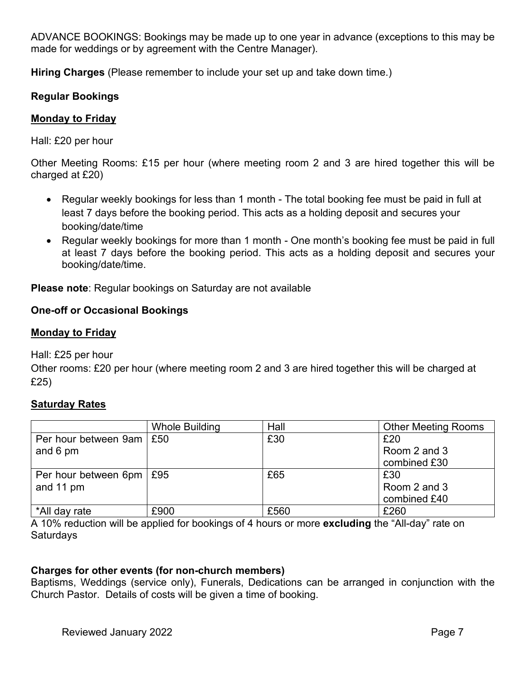ADVANCE BOOKINGS: Bookings may be made up to one year in advance (exceptions to this may be made for weddings or by agreement with the Centre Manager).

**Hiring Charges** (Please remember to include your set up and take down time.)

## **Regular Bookings**

#### **Monday to Friday**

Hall: £20 per hour

Other Meeting Rooms: £15 per hour (where meeting room 2 and 3 are hired together this will be charged at £20)

- Regular weekly bookings for less than 1 month The total booking fee must be paid in full at least 7 days before the booking period. This acts as a holding deposit and secures your booking/date/time
- Regular weekly bookings for more than 1 month One month's booking fee must be paid in full at least 7 days before the booking period. This acts as a holding deposit and secures your booking/date/time.

**Please note**: Regular bookings on Saturday are not available

## **One-off or Occasional Bookings**

#### **Monday to Friday**

Hall: £25 per hour

Other rooms: £20 per hour (where meeting room 2 and 3 are hired together this will be charged at £25)

# **Saturday Rates**

|                                         | Whole Building | Hall | <b>Other Meeting Rooms</b>          |
|-----------------------------------------|----------------|------|-------------------------------------|
| Per hour between 9am   £50<br>and 6 pm  |                | £30  | £20<br>Room 2 and 3<br>combined £30 |
| Per hour between 6pm   £95<br>and 11 pm |                | £65  | £30<br>Room 2 and 3<br>combined £40 |
| *All day rate                           | £900           | £560 | £260                                |

A 10% reduction will be applied for bookings of 4 hours or more **excluding** the "All-day" rate on Saturdays

# **Charges for other events (for non-church members)**

Baptisms, Weddings (service only), Funerals, Dedications can be arranged in conjunction with the Church Pastor. Details of costs will be given a time of booking.